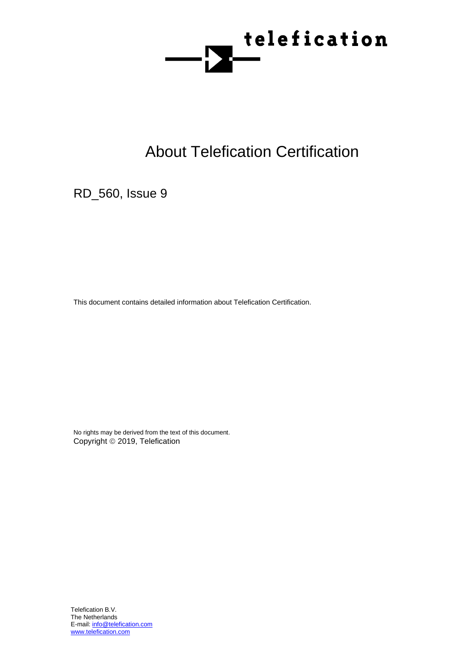

# About Telefication Certification

RD\_560, Issue 9

This document contains detailed information about Telefication Certification.

No rights may be derived from the text of this document. Copyright © 2019, Telefication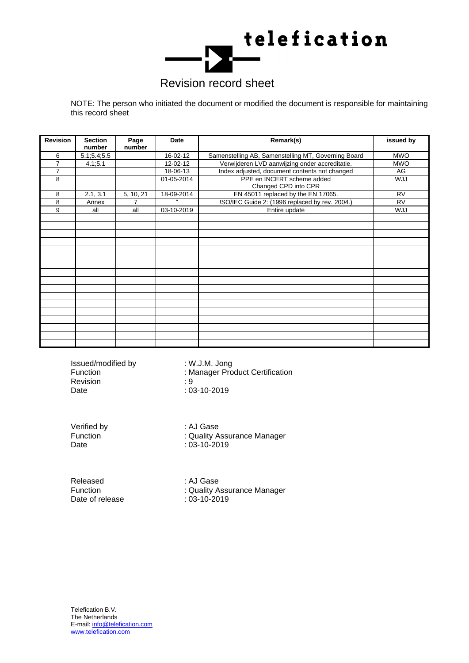

## Revision record sheet

NOTE: The person who initiated the document or modified the document is responsible for maintaining this record sheet

| <b>Revision</b> | <b>Section</b><br>number | Page<br>number | <b>Date</b> | Remark(s)                                           | issued by  |
|-----------------|--------------------------|----------------|-------------|-----------------------------------------------------|------------|
| 6               | 5.1; 5.4; 5.5            |                | 16-02-12    | Samenstelling AB, Samenstelling MT, Governing Board | <b>MWO</b> |
| 7               | 4.1, 5.1                 |                | 12-02-12    | Verwijderen LVD aanwijzing onder accreditatie.      | <b>MWO</b> |
| $\overline{7}$  |                          |                | 18-06-13    | Index adjusted, document contents not changed       | AG         |
| 8               |                          |                | 01-05-2014  | PPE en INCERT scheme added<br>Changed CPD into CPR  | <b>ULW</b> |
| 8               | 2.1, 3.1                 | 5, 10, 21      | 18-09-2014  | EN 45011 replaced by the EN 17065.                  | <b>RV</b>  |
| 8               | Annex                    | $\overline{7}$ | $\epsilon$  | !SO/IEC Guide 2: (1996 replaced by rev. 2004.)      | <b>RV</b>  |
| 9               | all                      | all            | 03-10-2019  | Entire update                                       | <b>ULW</b> |
|                 |                          |                |             |                                                     |            |
|                 |                          |                |             |                                                     |            |
|                 |                          |                |             |                                                     |            |
|                 |                          |                |             |                                                     |            |
|                 |                          |                |             |                                                     |            |
|                 |                          |                |             |                                                     |            |
|                 |                          |                |             |                                                     |            |
|                 |                          |                |             |                                                     |            |
|                 |                          |                |             |                                                     |            |
|                 |                          |                |             |                                                     |            |
|                 |                          |                |             |                                                     |            |
|                 |                          |                |             |                                                     |            |
|                 |                          |                |             |                                                     |            |
|                 |                          |                |             |                                                     |            |
|                 |                          |                |             |                                                     |            |
|                 |                          |                |             |                                                     |            |
|                 |                          |                |             |                                                     |            |

Issued/modified by : W.J.M. Jong Revision : 9 Date : 03-10-2019

Function : Manager Product Certification

Verified by **1988**: AJ Gase<br>Function **1988**: Quality A

Function : Quality Assurance Manager<br>
Date : 03-10-2019  $: 03 - 10 - 2019$ 

Released : AJ Gase<br>
Function : Quality A Date of release

: Quality Assurance Manager<br>: 03-10-2019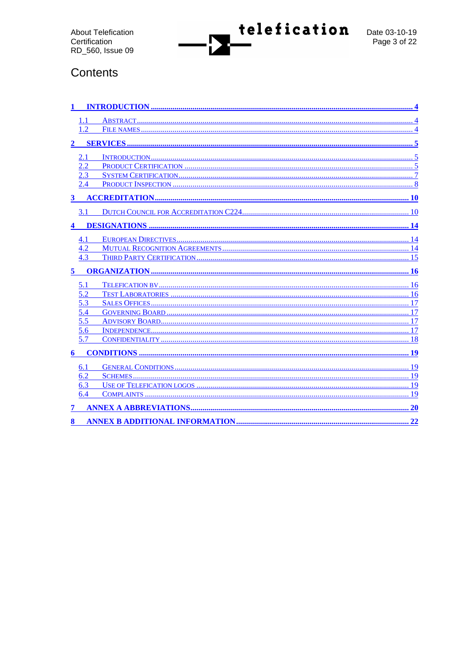

## Contents

|              | $\mathcal{D}$ |           |
|--------------|---------------|-----------|
|              |               |           |
| 2            |               |           |
|              |               |           |
|              | 2.2           |           |
|              | 2.3           |           |
|              | 2.4           |           |
| $\mathbf{3}$ |               |           |
|              | 3.1           |           |
|              |               |           |
|              |               |           |
|              | 4.1           |           |
|              | 4.2           |           |
|              | 4.3           | 15        |
|              |               |           |
| 5            |               | <b>16</b> |
|              |               |           |
|              | 5.1           |           |
|              | 5.2           | 16        |
|              | 5.3           | 17        |
|              | 5.4           | 17        |
|              | 5.5           | 17        |
|              | 5.6           | 17        |
|              | 5.7           | 18        |
| 6            |               |           |
|              | 6.1           |           |
|              | 6.2           |           |
|              | 6.3           |           |
|              | 6.4           | 19        |
| 7            |               | 20        |
| 8            |               |           |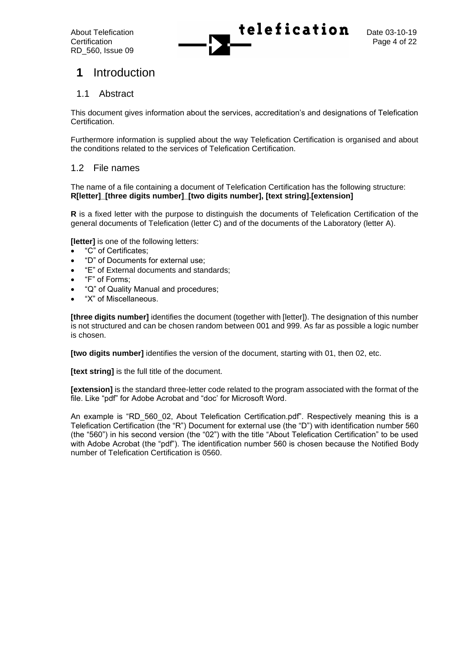

## **1** Introduction

## 1.1 Abstract

This document gives information about the services, accreditation's and designations of Telefication Certification.

Furthermore information is supplied about the way Telefication Certification is organised and about the conditions related to the services of Telefication Certification.

## 1.2 File names

The name of a file containing a document of Telefication Certification has the following structure: **R[letter]\_[three digits number]\_[two digits number], [text string].[extension]**

**R** is a fixed letter with the purpose to distinguish the documents of Telefication Certification of the general documents of Telefication (letter C) and of the documents of the Laboratory (letter A).

**[letter]** is one of the following letters:

- "C" of Certificates;
- "D" of Documents for external use;
- "E" of External documents and standards;
- "F" of Forms;
- "Q" of Quality Manual and procedures;
- "X" of Miscellaneous.

**[three digits number]** identifies the document (together with [letter]). The designation of this number is not structured and can be chosen random between 001 and 999. As far as possible a logic number is chosen.

**[two digits number]** identifies the version of the document, starting with 01, then 02, etc.

**[text string]** is the full title of the document.

**[extension]** is the standard three-letter code related to the program associated with the format of the file. Like "pdf" for Adobe Acrobat and "doc' for Microsoft Word.

An example is "RD 560 02, About Telefication Certification.pdf". Respectively meaning this is a Telefication Certification (the "R") Document for external use (the "D") with identification number 560 (the "560") in his second version (the "02") with the title "About Telefication Certification" to be used with Adobe Acrobat (the "pdf"). The identification number 560 is chosen because the Notified Body number of Telefication Certification is 0560.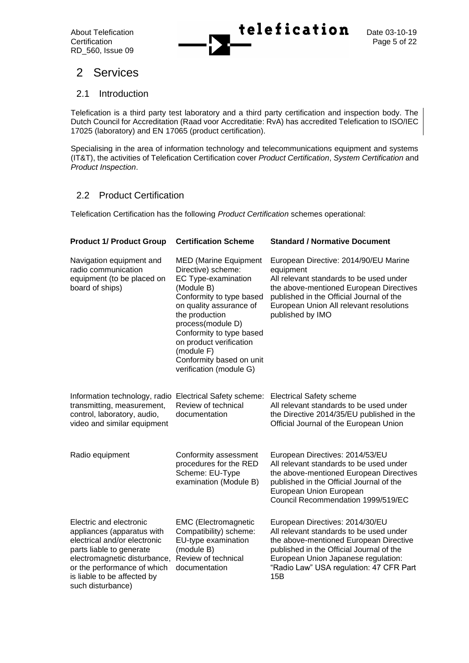

## 2 Services

## 2.1 Introduction

Telefication is a third party test laboratory and a third party certification and inspection body. The Dutch Council for Accreditation (Raad voor Accreditatie: RvA) has accredited Telefication to ISO/IEC 17025 (laboratory) and EN 17065 (product certification).

Specialising in the area of information technology and telecommunications equipment and systems (IT&T), the activities of Telefication Certification cover *Product Certification*, *System Certification* and *Product Inspection*.

## 2.2 Product Certification

Telefication Certification has the following *Product Certification* schemes operational:

| <b>Product 1/ Product Group</b>                                                                                                                                                                                                      | <b>Certification Scheme</b>                                                                                                                                                                                                                                                                                       | <b>Standard / Normative Document</b>                                                                                                                                                                                                                      |
|--------------------------------------------------------------------------------------------------------------------------------------------------------------------------------------------------------------------------------------|-------------------------------------------------------------------------------------------------------------------------------------------------------------------------------------------------------------------------------------------------------------------------------------------------------------------|-----------------------------------------------------------------------------------------------------------------------------------------------------------------------------------------------------------------------------------------------------------|
| Navigation equipment and<br>radio communication<br>equipment (to be placed on<br>board of ships)                                                                                                                                     | <b>MED</b> (Marine Equipment<br>Directive) scheme:<br>EC Type-examination<br>(Module B)<br>Conformity to type based<br>on quality assurance of<br>the production<br>process(module D)<br>Conformity to type based<br>on product verification<br>(module F)<br>Conformity based on unit<br>verification (module G) | European Directive: 2014/90/EU Marine<br>equipment<br>All relevant standards to be used under<br>the above-mentioned European Directives<br>published in the Official Journal of the<br>European Union All relevant resolutions<br>published by IMO       |
| Information technology, radio<br>transmitting, measurement,<br>control, laboratory, audio,<br>video and similar equipment                                                                                                            | Electrical Safety scheme:<br>Review of technical<br>documentation                                                                                                                                                                                                                                                 | <b>Electrical Safety scheme</b><br>All relevant standards to be used under<br>the Directive 2014/35/EU published in the<br>Official Journal of the European Union                                                                                         |
| Radio equipment                                                                                                                                                                                                                      | Conformity assessment<br>procedures for the RED<br>Scheme: EU-Type<br>examination (Module B)                                                                                                                                                                                                                      | European Directives: 2014/53/EU<br>All relevant standards to be used under<br>the above-mentioned European Directives<br>published in the Official Journal of the<br>European Union European<br>Council Recommendation 1999/519/EC                        |
| Electric and electronic<br>appliances (apparatus with<br>electrical and/or electronic<br>parts liable to generate<br>electromagnetic disturbance,<br>or the performance of which<br>is liable to be affected by<br>such disturbance) | <b>EMC</b> (Electromagnetic<br>Compatibility) scheme:<br>EU-type examination<br>(module B)<br>Review of technical<br>documentation                                                                                                                                                                                | European Directives: 2014/30/EU<br>All relevant standards to be used under<br>the above-mentioned European Directive<br>published in the Official Journal of the<br>European Union Japanese regulation:<br>"Radio Law" USA regulation: 47 CFR Part<br>15B |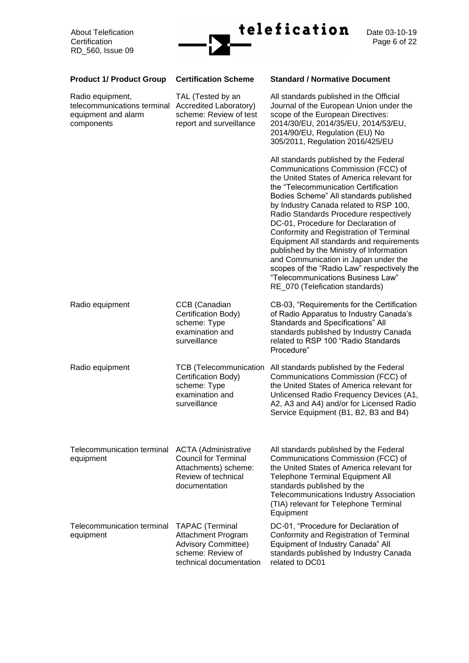

Date 03-10-19<br>Page 6 of 22

| <b>Product 1/ Product Group</b>                                                      | <b>Certification Scheme</b>                                                                                                | <b>Standard / Normative Document</b>                                                                                                                                                                                                                                                                                                                                                                                                                                                                                                                                                                                                    |
|--------------------------------------------------------------------------------------|----------------------------------------------------------------------------------------------------------------------------|-----------------------------------------------------------------------------------------------------------------------------------------------------------------------------------------------------------------------------------------------------------------------------------------------------------------------------------------------------------------------------------------------------------------------------------------------------------------------------------------------------------------------------------------------------------------------------------------------------------------------------------------|
| Radio equipment,<br>telecommunications terminal<br>equipment and alarm<br>components | TAL (Tested by an<br>Accredited Laboratory)<br>scheme: Review of test<br>report and surveillance                           | All standards published in the Official<br>Journal of the European Union under the<br>scope of the European Directives:<br>2014/30/EU, 2014/35/EU, 2014/53/EU,<br>2014/90/EU, Regulation (EU) No<br>305/2011, Regulation 2016/425/EU                                                                                                                                                                                                                                                                                                                                                                                                    |
|                                                                                      |                                                                                                                            | All standards published by the Federal<br>Communications Commission (FCC) of<br>the United States of America relevant for<br>the "Telecommunication Certification<br>Bodies Scheme" All standards published<br>by Industry Canada related to RSP 100,<br>Radio Standards Procedure respectively<br>DC-01, Procedure for Declaration of<br>Conformity and Registration of Terminal<br>Equipment All standards and requirements<br>published by the Ministry of Information<br>and Communication in Japan under the<br>scopes of the "Radio Law" respectively the<br>"Telecommunications Business Law"<br>RE_070 (Telefication standards) |
| Radio equipment                                                                      | CCB (Canadian<br>Certification Body)<br>scheme: Type<br>examination and<br>surveillance                                    | CB-03, "Requirements for the Certification<br>of Radio Apparatus to Industry Canada's<br>Standards and Specifications" All<br>standards published by Industry Canada<br>related to RSP 100 "Radio Standards<br>Procedure"                                                                                                                                                                                                                                                                                                                                                                                                               |
| Radio equipment                                                                      | <b>TCB</b> (Telecommunication<br>Certification Body)<br>scheme: Type<br>examination and<br>surveillance                    | All standards published by the Federal<br>Communications Commission (FCC) of<br>the United States of America relevant for<br>Unlicensed Radio Frequency Devices (A1,<br>A2, A3 and A4) and/or for Licensed Radio<br>Service Equipment (B1, B2, B3 and B4)                                                                                                                                                                                                                                                                                                                                                                               |
| Telecommunication terminal<br>equipment                                              | <b>ACTA</b> (Administrative<br><b>Council for Terminal</b><br>Attachments) scheme:<br>Review of technical<br>documentation | All standards published by the Federal<br>Communications Commission (FCC) of<br>the United States of America relevant for<br><b>Telephone Terminal Equipment All</b><br>standards published by the<br>Telecommunications Industry Association<br>(TIA) relevant for Telephone Terminal<br>Equipment                                                                                                                                                                                                                                                                                                                                     |
| Telecommunication terminal<br>equipment                                              | <b>TAPAC</b> (Terminal<br>Attachment Program<br><b>Advisory Committee)</b><br>scheme: Review of<br>technical documentation | DC-01, "Procedure for Declaration of<br>Conformity and Registration of Terminal<br>Equipment of Industry Canada" All<br>standards published by Industry Canada<br>related to DC01                                                                                                                                                                                                                                                                                                                                                                                                                                                       |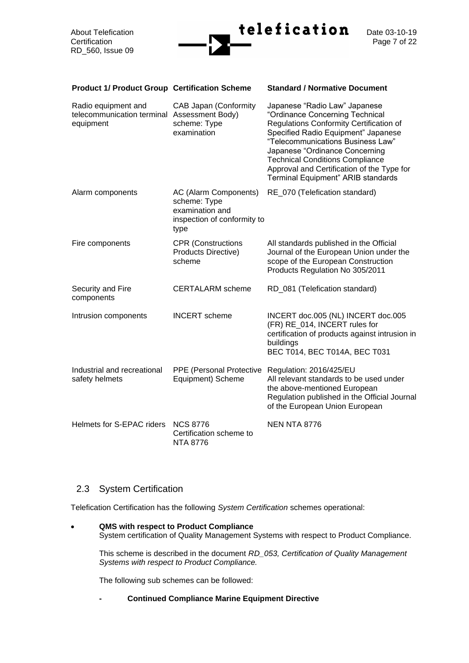

| <b>Product 1/ Product Group Certification Scheme</b>                            |                                                                                                 | <b>Standard / Normative Document</b>                                                                                                                                                                                                                                                                                                                    |
|---------------------------------------------------------------------------------|-------------------------------------------------------------------------------------------------|---------------------------------------------------------------------------------------------------------------------------------------------------------------------------------------------------------------------------------------------------------------------------------------------------------------------------------------------------------|
| Radio equipment and<br>telecommunication terminal Assessment Body)<br>equipment | <b>CAB Japan (Conformity</b><br>scheme: Type<br>examination                                     | Japanese "Radio Law" Japanese<br>"Ordinance Concerning Technical<br>Regulations Conformity Certification of<br>Specified Radio Equipment" Japanese<br>"Telecommunications Business Law"<br>Japanese "Ordinance Concerning<br><b>Technical Conditions Compliance</b><br>Approval and Certification of the Type for<br>Terminal Equipment" ARIB standards |
| Alarm components                                                                | AC (Alarm Components)<br>scheme: Type<br>examination and<br>inspection of conformity to<br>type | RE_070 (Telefication standard)                                                                                                                                                                                                                                                                                                                          |
| Fire components                                                                 | <b>CPR</b> (Constructions<br><b>Products Directive)</b><br>scheme                               | All standards published in the Official<br>Journal of the European Union under the<br>scope of the European Construction<br>Products Regulation No 305/2011                                                                                                                                                                                             |
| Security and Fire<br>components                                                 | <b>CERTALARM</b> scheme                                                                         | RD_081 (Telefication standard)                                                                                                                                                                                                                                                                                                                          |
| Intrusion components                                                            | <b>INCERT</b> scheme                                                                            | INCERT doc.005 (NL) INCERT doc.005<br>(FR) RE_014, INCERT rules for<br>certification of products against intrusion in<br>buildings<br>BEC T014, BEC T014A, BEC T031                                                                                                                                                                                     |
| Industrial and recreational<br>safety helmets                                   | PPE (Personal Protective<br>Equipment) Scheme                                                   | Regulation: 2016/425/EU<br>All relevant standards to be used under<br>the above-mentioned European<br>Regulation published in the Official Journal<br>of the European Union European                                                                                                                                                                    |
| Helmets for S-EPAC riders                                                       | <b>NCS 8776</b><br>Certification scheme to<br><b>NTA 8776</b>                                   | <b>NEN NTA 8776</b>                                                                                                                                                                                                                                                                                                                                     |

## 2.3 System Certification

Telefication Certification has the following *System Certification* schemes operational:

• **QMS with respect to Product Compliance** System certification of Quality Management Systems with respect to Product Compliance.

This scheme is described in the document *RD\_053, Certification of Quality Management Systems with respect to Product Compliance.*

The following sub schemes can be followed:

## **- Continued Compliance Marine Equipment Directive**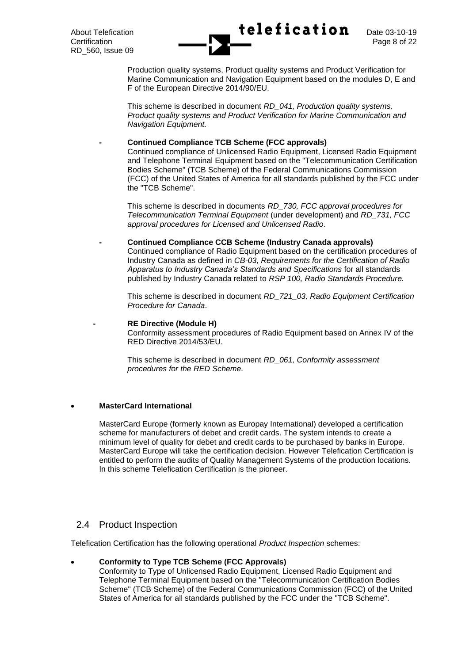

Production quality systems, Product quality systems and Product Verification for Marine Communication and Navigation Equipment based on the modules D, E and F of the European Directive 2014/90/EU.

This scheme is described in document *RD\_041, Production quality systems, Product quality systems and Product Verification for Marine Communication and Navigation Equipment.*

#### **- Continued Compliance TCB Scheme (FCC approvals)**

Continued compliance of Unlicensed Radio Equipment, Licensed Radio Equipment and Telephone Terminal Equipment based on the "Telecommunication Certification Bodies Scheme" (TCB Scheme) of the Federal Communications Commission (FCC) of the United States of America for all standards published by the FCC under the "TCB Scheme".

This scheme is described in documents *RD\_730, FCC approval procedures for Telecommunication Terminal Equipment* (under development) and *RD\_731, FCC approval procedures for Licensed and Unlicensed Radio*.

#### **- Continued Compliance CCB Scheme (Industry Canada approvals)**

Continued compliance of Radio Equipment based on the certification procedures of Industry Canada as defined in *CB-03, Requirements for the Certification of Radio Apparatus to Industry Canada's Standards and Specifications* for all standards published by Industry Canada related to *RSP 100, Radio Standards Procedure.*

This scheme is described in document *RD\_721\_03, Radio Equipment Certification Procedure for Canada*.

#### **- RE Directive (Module H)**

Conformity assessment procedures of Radio Equipment based on Annex IV of the RED Directive 2014/53/EU.

This scheme is described in document *RD\_061, Conformity assessment procedures for the RED Scheme.*

## • **MasterCard International**

MasterCard Europe (formerly known as Europay International) developed a certification scheme for manufacturers of debet and credit cards. The system intends to create a minimum level of quality for debet and credit cards to be purchased by banks in Europe. MasterCard Europe will take the certification decision. However Telefication Certification is entitled to perform the audits of Quality Management Systems of the production locations. In this scheme Telefication Certification is the pioneer.

## 2.4 Product Inspection

Telefication Certification has the following operational *Product Inspection* schemes:

## • **Conformity to Type TCB Scheme (FCC Approvals)**

Conformity to Type of Unlicensed Radio Equipment, Licensed Radio Equipment and Telephone Terminal Equipment based on the "Telecommunication Certification Bodies Scheme" (TCB Scheme) of the Federal Communications Commission (FCC) of the United States of America for all standards published by the FCC under the "TCB Scheme".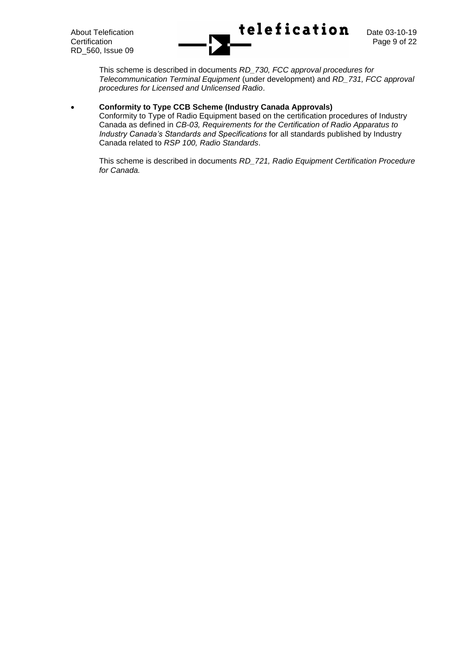

This scheme is described in documents *RD\_730, FCC approval procedures for Telecommunication Terminal Equipment* (under development) and *RD\_731, FCC approval procedures for Licensed and Unlicensed Radio*.

## • **Conformity to Type CCB Scheme (Industry Canada Approvals)**

Conformity to Type of Radio Equipment based on the certification procedures of Industry Canada as defined in *CB-03, Requirements for the Certification of Radio Apparatus to Industry Canada's Standards and Specifications* for all standards published by Industry Canada related to *RSP 100, Radio Standards*.

This scheme is described in documents *RD\_721, Radio Equipment Certification Procedure for Canada.*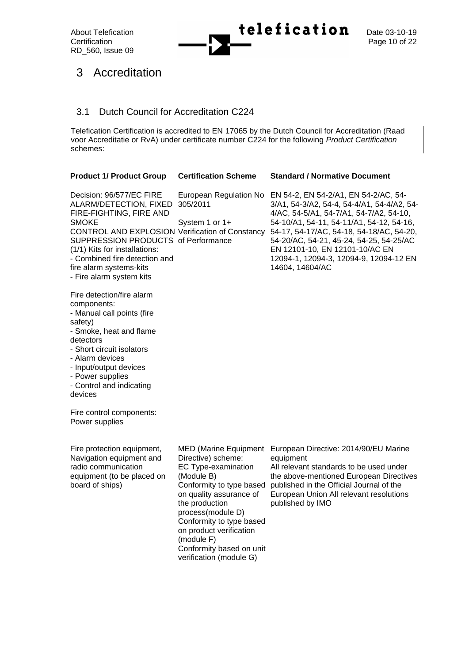

## 3 Accreditation

## 3.1 Dutch Council for Accreditation C224

Telefication Certification is accredited to EN 17065 by the Dutch Council for Accreditation (Raad voor Accreditatie or RvA) under certificate number C224 for the following *Product Certification* schemes:

| <b>Product 1/ Product Group</b>                                                                                                                                                                                                                                                                                  | <b>Certification Scheme</b>                                                                                                                                                                                                                                                                                       | <b>Standard / Normative Document</b>                                                                                                                                                                                                                                                                                                                            |
|------------------------------------------------------------------------------------------------------------------------------------------------------------------------------------------------------------------------------------------------------------------------------------------------------------------|-------------------------------------------------------------------------------------------------------------------------------------------------------------------------------------------------------------------------------------------------------------------------------------------------------------------|-----------------------------------------------------------------------------------------------------------------------------------------------------------------------------------------------------------------------------------------------------------------------------------------------------------------------------------------------------------------|
| Decision: 96/577/EC FIRE<br>ALARM/DETECTION, FIXED<br>FIRE-FIGHTING, FIRE AND<br>SMOKE<br><b>CONTROL AND EXPLOSION Verification of Constancy</b><br>SUPPRESSION PRODUCTS of Performance<br>(1/1) Kits for installations:<br>- Combined fire detection and<br>fire alarm systems-kits<br>- Fire alarm system kits | European Regulation No<br>305/2011<br>System 1 or 1+                                                                                                                                                                                                                                                              | EN 54-2, EN 54-2/A1, EN 54-2/AC, 54-<br>3/A1, 54-3/A2, 54-4, 54-4/A1, 54-4/A2, 54-<br>4/AC, 54-5/A1, 54-7/A1, 54-7/A2, 54-10,<br>54-10/A1, 54-11, 54-11/A1, 54-12, 54-16,<br>54-17, 54-17/AC, 54-18, 54-18/AC, 54-20,<br>54-20/AC, 54-21, 45-24, 54-25, 54-25/AC<br>EN 12101-10, EN 12101-10/AC EN<br>12094-1, 12094-3, 12094-9, 12094-12 EN<br>14604, 14604/AC |
| Fire detection/fire alarm<br>components:<br>- Manual call points (fire<br>safety)<br>- Smoke, heat and flame<br>detectors<br>- Short circuit isolators<br>- Alarm devices<br>- Input/output devices<br>- Power supplies<br>- Control and indicating<br>devices                                                   |                                                                                                                                                                                                                                                                                                                   |                                                                                                                                                                                                                                                                                                                                                                 |
| Fire control components:<br>Power supplies                                                                                                                                                                                                                                                                       |                                                                                                                                                                                                                                                                                                                   |                                                                                                                                                                                                                                                                                                                                                                 |
| Fire protection equipment,<br>Navigation equipment and<br>radio communication<br>equipment (to be placed on<br>board of ships)                                                                                                                                                                                   | <b>MED (Marine Equipment</b><br>Directive) scheme:<br>EC Type-examination<br>(Module B)<br>Conformity to type based<br>on quality assurance of<br>the production<br>process(module D)<br>Conformity to type based<br>on product verification<br>(module F)<br>Conformity based on unit<br>verification (module G) | European Directive: 2014/90/EU Marine<br>equipment<br>All relevant standards to be used under<br>the above-mentioned European Directives<br>published in the Official Journal of the<br>European Union All relevant resolutions<br>published by IMO                                                                                                             |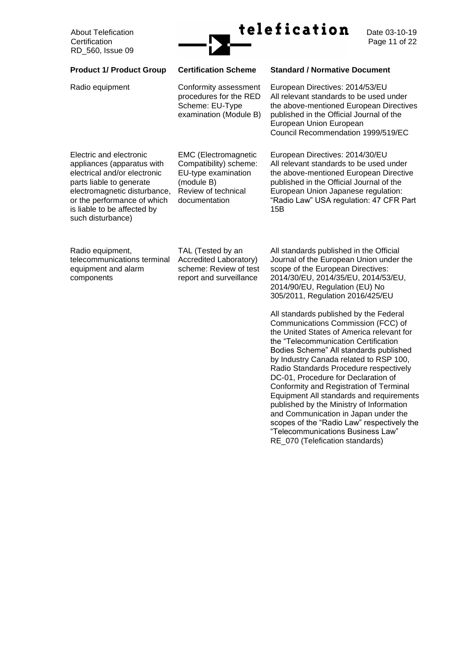

Page 11 of 22

| <b>Product 1/ Product Group</b>                                                                                                                                                                                                      | <b>Certification Scheme</b>                                                                                                        | <b>Standard / Normative Document</b>                                                                                                                                                                                                                                                                                                                                                                                                                                                                       |
|--------------------------------------------------------------------------------------------------------------------------------------------------------------------------------------------------------------------------------------|------------------------------------------------------------------------------------------------------------------------------------|------------------------------------------------------------------------------------------------------------------------------------------------------------------------------------------------------------------------------------------------------------------------------------------------------------------------------------------------------------------------------------------------------------------------------------------------------------------------------------------------------------|
| Radio equipment                                                                                                                                                                                                                      | Conformity assessment<br>procedures for the RED<br>Scheme: EU-Type<br>examination (Module B)                                       | European Directives: 2014/53/EU<br>All relevant standards to be used under<br>the above-mentioned European Directives<br>published in the Official Journal of the<br>European Union European<br>Council Recommendation 1999/519/EC                                                                                                                                                                                                                                                                         |
| Electric and electronic<br>appliances (apparatus with<br>electrical and/or electronic<br>parts liable to generate<br>electromagnetic disturbance,<br>or the performance of which<br>is liable to be affected by<br>such disturbance) | <b>EMC</b> (Electromagnetic<br>Compatibility) scheme:<br>EU-type examination<br>(module B)<br>Review of technical<br>documentation | European Directives: 2014/30/EU<br>All relevant standards to be used under<br>the above-mentioned European Directive<br>published in the Official Journal of the<br>European Union Japanese regulation:<br>"Radio Law" USA regulation: 47 CFR Part<br>15B                                                                                                                                                                                                                                                  |
| Radio equipment,<br>telecommunications terminal<br>equipment and alarm<br>components                                                                                                                                                 | TAL (Tested by an<br>Accredited Laboratory)<br>scheme: Review of test<br>report and surveillance                                   | All standards published in the Official<br>Journal of the European Union under the<br>scope of the European Directives:<br>2014/30/EU, 2014/35/EU, 2014/53/EU,<br>2014/90/EU, Regulation (EU) No<br>305/2011, Regulation 2016/425/EU<br>All standards published by the Federal<br>Communications Commission (FCC) of<br>the United States of America relevant for                                                                                                                                          |
|                                                                                                                                                                                                                                      |                                                                                                                                    | the "Telecommunication Certification<br>Bodies Scheme" All standards published<br>by Industry Canada related to RSP 100,<br>Radio Standards Procedure respectively<br>DC-01, Procedure for Declaration of<br>Conformity and Registration of Terminal<br>Equipment All standards and requirements<br>published by the Ministry of Information<br>and Communication in Japan under the<br>scopes of the "Radio Law" respectively the<br>"Telecommunications Business Law"<br>RE_070 (Telefication standards) |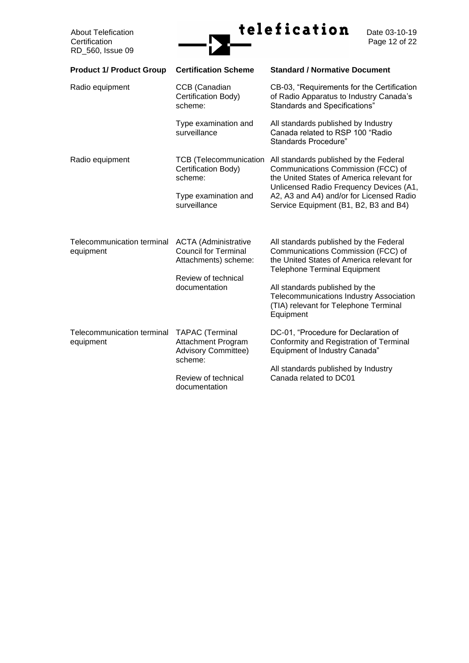

Date 03-10-19<br>Page 12 of 22

| <b>Product 1/ Product Group</b>         | <b>Certification Scheme</b>                                                                                                          | <b>Standard / Normative Document</b>                                                                                                                                                                                                                                                                |
|-----------------------------------------|--------------------------------------------------------------------------------------------------------------------------------------|-----------------------------------------------------------------------------------------------------------------------------------------------------------------------------------------------------------------------------------------------------------------------------------------------------|
| Radio equipment                         | CCB (Canadian<br>Certification Body)<br>scheme:                                                                                      | CB-03, "Requirements for the Certification<br>of Radio Apparatus to Industry Canada's<br><b>Standards and Specifications"</b>                                                                                                                                                                       |
|                                         | Type examination and<br>surveillance                                                                                                 | All standards published by Industry<br>Canada related to RSP 100 "Radio"<br>Standards Procedure"                                                                                                                                                                                                    |
| Radio equipment                         | <b>TCB</b> (Telecommunication<br>Certification Body)<br>scheme:<br>Type examination and<br>surveillance                              | All standards published by the Federal<br>Communications Commission (FCC) of<br>the United States of America relevant for<br>Unlicensed Radio Frequency Devices (A1,<br>A2, A3 and A4) and/or for Licensed Radio<br>Service Equipment (B1, B2, B3 and B4)                                           |
| Telecommunication terminal<br>equipment | <b>ACTA</b> (Administrative<br><b>Council for Terminal</b><br>Attachments) scheme:<br>Review of technical<br>documentation           | All standards published by the Federal<br>Communications Commission (FCC) of<br>the United States of America relevant for<br><b>Telephone Terminal Equipment</b><br>All standards published by the<br>Telecommunications Industry Association<br>(TIA) relevant for Telephone Terminal<br>Equipment |
| Telecommunication terminal<br>equipment | <b>TAPAC</b> (Terminal<br><b>Attachment Program</b><br><b>Advisory Committee)</b><br>scheme:<br>Review of technical<br>documentation | DC-01, "Procedure for Declaration of<br>Conformity and Registration of Terminal<br>Equipment of Industry Canada"<br>All standards published by Industry<br>Canada related to DC01                                                                                                                   |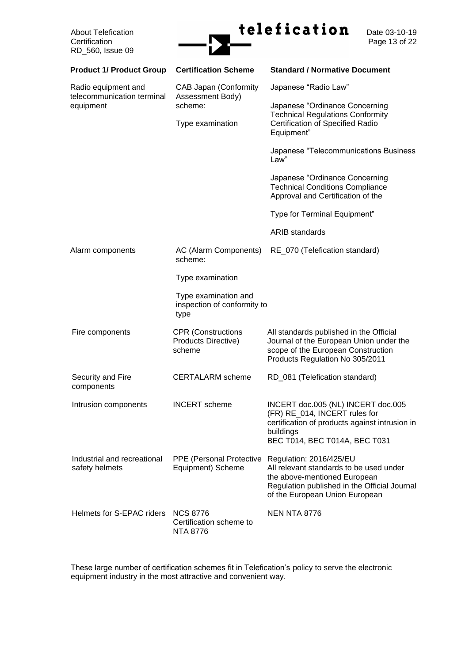

Page 13 of 22

| <b>Product 1/ Product Group</b>                   | <b>Certification Scheme</b>                                 | <b>Standard / Normative Document</b>                                                                                                                                                 |  |
|---------------------------------------------------|-------------------------------------------------------------|--------------------------------------------------------------------------------------------------------------------------------------------------------------------------------------|--|
| Radio equipment and<br>telecommunication terminal | <b>CAB Japan (Conformity</b><br>Assessment Body)            | Japanese "Radio Law"                                                                                                                                                                 |  |
| equipment                                         | scheme:                                                     | Japanese "Ordinance Concerning<br><b>Technical Regulations Conformity</b>                                                                                                            |  |
|                                                   | Type examination                                            | Certification of Specified Radio<br>Equipment"                                                                                                                                       |  |
|                                                   |                                                             | Japanese "Telecommunications Business<br>Law"                                                                                                                                        |  |
|                                                   |                                                             | Japanese "Ordinance Concerning<br><b>Technical Conditions Compliance</b><br>Approval and Certification of the                                                                        |  |
|                                                   |                                                             | Type for Terminal Equipment"                                                                                                                                                         |  |
|                                                   |                                                             | <b>ARIB</b> standards                                                                                                                                                                |  |
| Alarm components                                  | AC (Alarm Components)<br>scheme:                            | RE_070 (Telefication standard)                                                                                                                                                       |  |
|                                                   | Type examination                                            |                                                                                                                                                                                      |  |
|                                                   | Type examination and<br>inspection of conformity to<br>type |                                                                                                                                                                                      |  |
| Fire components                                   | <b>CPR</b> (Constructions<br>Products Directive)<br>scheme  | All standards published in the Official<br>Journal of the European Union under the<br>scope of the European Construction<br>Products Regulation No 305/2011                          |  |
| Security and Fire<br>components                   | <b>CERTALARM</b> scheme                                     | RD_081 (Telefication standard)                                                                                                                                                       |  |
| Intrusion components                              | <b>INCERT</b> scheme                                        | INCERT doc.005 (NL) INCERT doc.005<br>(FR) RE_014, INCERT rules for<br>certification of products against intrusion in<br>buildings<br>BEC T014, BEC T014A, BEC T031                  |  |
| Industrial and recreational<br>safety helmets     | PPE (Personal Protective<br>Equipment) Scheme               | Regulation: 2016/425/EU<br>All relevant standards to be used under<br>the above-mentioned European<br>Regulation published in the Official Journal<br>of the European Union European |  |
| Helmets for S-EPAC riders NCS 8776                | Certification scheme to<br><b>NTA 8776</b>                  | <b>NEN NTA 8776</b>                                                                                                                                                                  |  |

These large number of certification schemes fit in Telefication's policy to serve the electronic equipment industry in the most attractive and convenient way.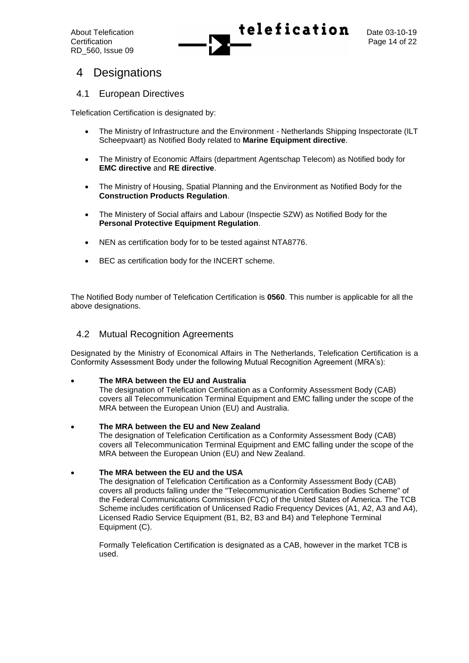

## 4 Designations

## 4.1 European Directives

Telefication Certification is designated by:

- The Ministry of Infrastructure and the Environment Netherlands Shipping Inspectorate (ILT Scheepvaart) as Notified Body related to **Marine Equipment directive**.
- The Ministry of Economic Affairs (department Agentschap Telecom) as Notified body for **EMC directive** and **RE directive**.
- The Ministry of Housing, Spatial Planning and the Environment as Notified Body for the **Construction Products Regulation**.
- The Ministery of Social affairs and Labour (Inspectie SZW) as Notified Body for the **Personal Protective Equipment Regulation**.
- NEN as certification body for to be tested against NTA8776.
- BEC as certification body for the INCERT scheme.

The Notified Body number of Telefication Certification is **0560**. This number is applicable for all the above designations.

## 4.2 Mutual Recognition Agreements

Designated by the Ministry of Economical Affairs in The Netherlands, Telefication Certification is a Conformity Assessment Body under the following Mutual Recognition Agreement (MRA's):

## • **The MRA between the EU and Australia**

The designation of Telefication Certification as a Conformity Assessment Body (CAB) covers all Telecommunication Terminal Equipment and EMC falling under the scope of the MRA between the European Union (EU) and Australia.

• **The MRA between the EU and New Zealand** The designation of Telefication Certification as a Conformity Assessment Body (CAB) covers all Telecommunication Terminal Equipment and EMC falling under the scope of the MRA between the European Union (EU) and New Zealand.

## • **The MRA between the EU and the USA**

The designation of Telefication Certification as a Conformity Assessment Body (CAB) covers all products falling under the "Telecommunication Certification Bodies Scheme" of the Federal Communications Commission (FCC) of the United States of America. The TCB Scheme includes certification of Unlicensed Radio Frequency Devices (A1, A2, A3 and A4), Licensed Radio Service Equipment (B1, B2, B3 and B4) and Telephone Terminal Equipment (C).

Formally Telefication Certification is designated as a CAB, however in the market TCB is used.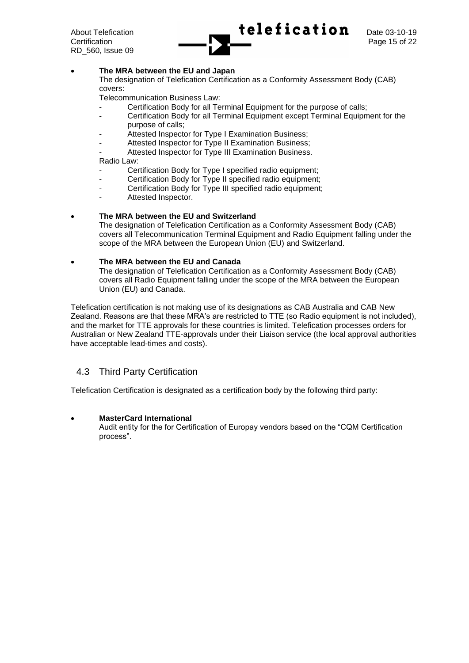

#### • **The MRA between the EU and Japan**

The designation of Telefication Certification as a Conformity Assessment Body (CAB) covers:

Telecommunication Business Law:

- Certification Body for all Terminal Equipment for the purpose of calls;
- Certification Body for all Terminal Equipment except Terminal Equipment for the purpose of calls;
- Attested Inspector for Type I Examination Business;
- Attested Inspector for Type II Examination Business;
- Attested Inspector for Type III Examination Business.

Radio Law:

- Certification Body for Type I specified radio equipment;
- Certification Body for Type II specified radio equipment;
- Certification Body for Type III specified radio equipment;
- Attested Inspector.

#### • **The MRA between the EU and Switzerland**

The designation of Telefication Certification as a Conformity Assessment Body (CAB) covers all Telecommunication Terminal Equipment and Radio Equipment falling under the scope of the MRA between the European Union (EU) and Switzerland.

#### • **The MRA between the EU and Canada**

The designation of Telefication Certification as a Conformity Assessment Body (CAB) covers all Radio Equipment falling under the scope of the MRA between the European Union (EU) and Canada.

Telefication certification is not making use of its designations as CAB Australia and CAB New Zealand. Reasons are that these MRA's are restricted to TTE (so Radio equipment is not included), and the market for TTE approvals for these countries is limited. Telefication processes orders for Australian or New Zealand TTE-approvals under their Liaison service (the local approval authorities have acceptable lead-times and costs).

## 4.3 Third Party Certification

Telefication Certification is designated as a certification body by the following third party:

#### • **MasterCard International**

Audit entity for the for Certification of Europay vendors based on the "CQM Certification process".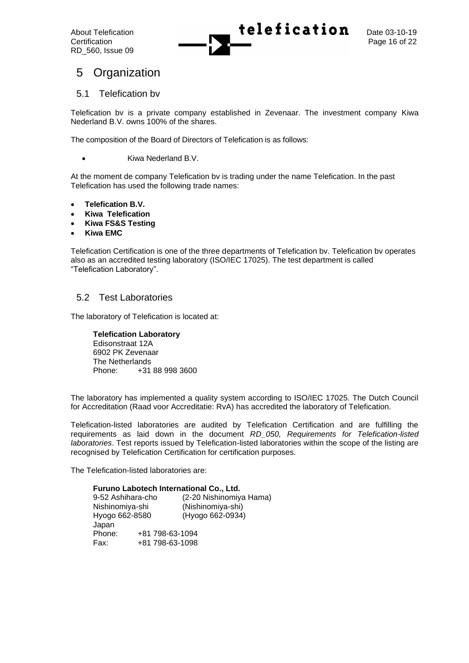

## 5 Organization

## 5.1 Telefication bv

Telefication bv is a private company established in Zevenaar. The investment company Kiwa Nederland B.V. owns 100% of the shares.

The composition of the Board of Directors of Telefication is as follows:

• Kiwa Nederland B.V.

At the moment de company Telefication bv is trading under the name Telefication. In the past Telefication has used the following trade names:

- **Telefication B.V.**
- **Kiwa Telefication**
- **Kiwa FS&S Testing**
- **Kiwa EMC**

Telefication Certification is one of the three departments of Telefication bv. Telefication bv operates also as an accredited testing laboratory (ISO/IEC 17025). The test department is called "Telefication Laboratory".

## 5.2 Test Laboratories

The laboratory of Telefication is located at:

**Telefication Laboratory** Edisonstraat 12A 6902 PK Zevenaar The Netherlands Phone: +31 88 998 3600

The laboratory has implemented a quality system according to ISO/IEC 17025. The Dutch Council for Accreditation (Raad voor Accreditatie: RvA) has accredited the laboratory of Telefication.

Telefication-listed laboratories are audited by Telefication Certification and are fulfilling the requirements as laid down in the document *RD\_050, Requirements for Telefication-listed laboratories*. Test reports issued by Telefication-listed laboratories within the scope of the listing are recognised by Telefication Certification for certification purposes.

The Telefication-listed laboratories are:

#### **Furuno Labotech International Co., Ltd.**

| 9-52 Ashihara-cho |                 | (2-20 Nishinomiya Hama) |
|-------------------|-----------------|-------------------------|
| Nishinomiya-shi   |                 | (Nishinomiya-shi)       |
| Hyogo 662-8580    |                 | (Hyogo 662-0934)        |
| Japan             |                 |                         |
| Phone:            | +81 798-63-1094 |                         |
| Fax:              | +81 798-63-1098 |                         |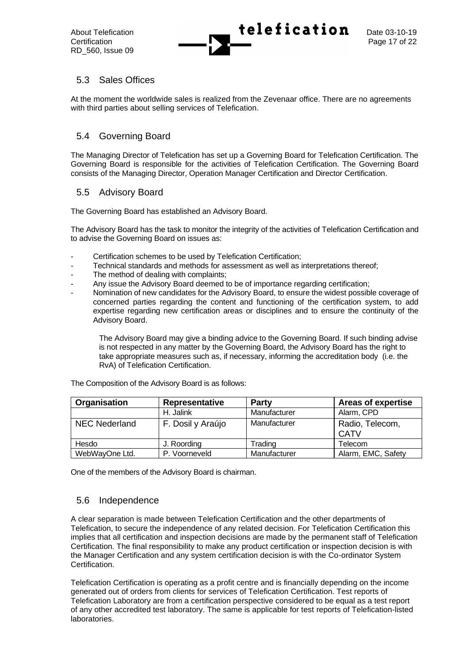

## 5.3 Sales Offices

At the moment the worldwide sales is realized from the Zevenaar office. There are no agreements with third parties about selling services of Telefication.

## 5.4 Governing Board

The Managing Director of Telefication has set up a Governing Board for Telefication Certification. The Governing Board is responsible for the activities of Telefication Certification. The Governing Board consists of the Managing Director, Operation Manager Certification and Director Certification.

## 5.5 Advisory Board

The Governing Board has established an Advisory Board.

The Advisory Board has the task to monitor the integrity of the activities of Telefication Certification and to advise the Governing Board on issues as:

- Certification schemes to be used by Telefication Certification;
- Technical standards and methods for assessment as well as interpretations thereof;
- The method of dealing with complaints;
- Any issue the Advisory Board deemed to be of importance regarding certification;
- Nomination of new candidates for the Advisory Board, to ensure the widest possible coverage of concerned parties regarding the content and functioning of the certification system, to add expertise regarding new certification areas or disciplines and to ensure the continuity of the Advisory Board.

The Advisory Board may give a binding advice to the Governing Board. If such binding advise is not respected in any matter by the Governing Board, the Advisory Board has the right to take appropriate measures such as, if necessary, informing the accreditation body (i.e. the RvA) of Telefication Certification.

| Organisation   | Representative    | <b>Party</b> | <b>Areas of expertise</b>      |
|----------------|-------------------|--------------|--------------------------------|
|                | H. Jalink         | Manufacturer | Alarm, CPD                     |
| NEC Nederland  | F. Dosil y Araújo | Manufacturer | Radio, Telecom,<br><b>CATV</b> |
| Hesdo          | J. Roording       | Trading      | Telecom                        |
| WebWayOne Ltd. | P. Voorneveld     | Manufacturer | Alarm, EMC, Safety             |

The Composition of the Advisory Board is as follows:

One of the members of the Advisory Board is chairman.

## 5.6 Independence

A clear separation is made between Telefication Certification and the other departments of Telefication, to secure the independence of any related decision. For Telefication Certification this implies that all certification and inspection decisions are made by the permanent staff of Telefication Certification. The final responsibility to make any product certification or inspection decision is with the Manager Certification and any system certification decision is with the Co-ordinator System Certification.

Telefication Certification is operating as a profit centre and is financially depending on the income generated out of orders from clients for services of Telefication Certification. Test reports of Telefication Laboratory are from a certification perspective considered to be equal as a test report of any other accredited test laboratory. The same is applicable for test reports of Telefication-listed laboratories.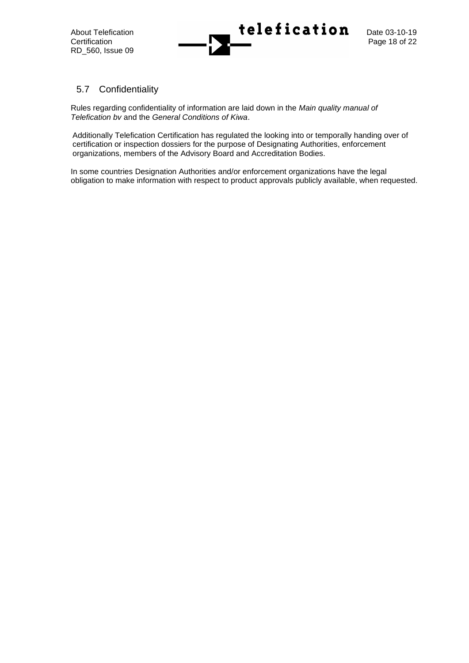

## 5.7 Confidentiality

Rules regarding confidentiality of information are laid down in the *Main quality manual of Telefication bv* and the *General Conditions of Kiwa*.

Additionally Telefication Certification has regulated the looking into or temporally handing over of certification or inspection dossiers for the purpose of Designating Authorities, enforcement organizations, members of the Advisory Board and Accreditation Bodies.

In some countries Designation Authorities and/or enforcement organizations have the legal obligation to make information with respect to product approvals publicly available, when requested.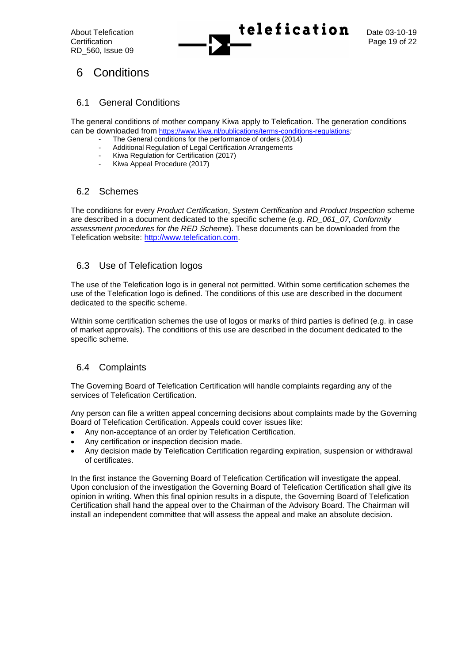

## 6 Conditions

## 6.1 General Conditions

The general conditions of mother company Kiwa apply to Telefication. The generation conditions can be downloaded from <https://www.kiwa.nl/publications/terms-conditions-regulations>*:*

- The General conditions for the performance of orders (2014)
- Additional Regulation of Legal Certification Arrangements
- Kiwa Regulation for Certification (2017)
- Kiwa Appeal Procedure (2017)

## 6.2 Schemes

The conditions for every *Product Certification*, *System Certification* and *Product Inspection* scheme are described in a document dedicated to the specific scheme (e.g. *RD\_061\_07, Conformity assessment procedures for the RED Scheme*). These documents can be downloaded from the Telefication website: http://www.telefication.com.

## 6.3 Use of Telefication logos

The use of the Telefication logo is in general not permitted. Within some certification schemes the use of the Telefication logo is defined. The conditions of this use are described in the document dedicated to the specific scheme.

Within some certification schemes the use of logos or marks of third parties is defined (e.g. in case of market approvals). The conditions of this use are described in the document dedicated to the specific scheme.

## 6.4 Complaints

The Governing Board of Telefication Certification will handle complaints regarding any of the services of Telefication Certification.

Any person can file a written appeal concerning decisions about complaints made by the Governing Board of Telefication Certification. Appeals could cover issues like:

- Any non-acceptance of an order by Telefication Certification.
- Any certification or inspection decision made.
- Any decision made by Telefication Certification regarding expiration, suspension or withdrawal of certificates.

In the first instance the Governing Board of Telefication Certification will investigate the appeal. Upon conclusion of the investigation the Governing Board of Telefication Certification shall give its opinion in writing. When this final opinion results in a dispute, the Governing Board of Telefication Certification shall hand the appeal over to the Chairman of the Advisory Board. The Chairman will install an independent committee that will assess the appeal and make an absolute decision.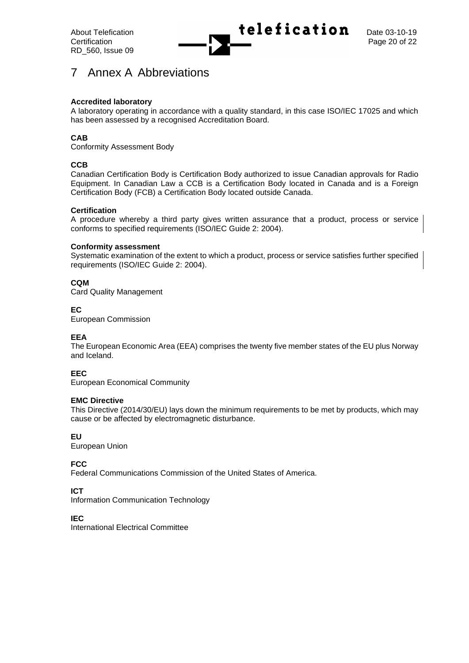

## 7 Annex A Abbreviations

## **Accredited laboratory**

A laboratory operating in accordance with a quality standard, in this case ISO/IEC 17025 and which has been assessed by a recognised Accreditation Board.

## **CAB**

Conformity Assessment Body

## **CCB**

Canadian Certification Body is Certification Body authorized to issue Canadian approvals for Radio Equipment. In Canadian Law a CCB is a Certification Body located in Canada and is a Foreign Certification Body (FCB) a Certification Body located outside Canada.

## **Certification**

A procedure whereby a third party gives written assurance that a product, process or service conforms to specified requirements (ISO/IEC Guide 2: 2004).

#### **Conformity assessment**

Systematic examination of the extent to which a product, process or service satisfies further specified requirements (ISO/IEC Guide 2: 2004).

## **CQM**

Card Quality Management

## **EC**

European Commission

## **EEA**

The European Economic Area (EEA) comprises the twenty five member states of the EU plus Norway and Iceland.

## **EEC**

European Economical Community

## **EMC Directive**

This Directive (2014/30/EU) lays down the minimum requirements to be met by products, which may cause or be affected by electromagnetic disturbance.

## **EU**

European Union

## **FCC**

Federal Communications Commission of the United States of America.

## **ICT**

Information Communication Technology

**IEC**

International Electrical Committee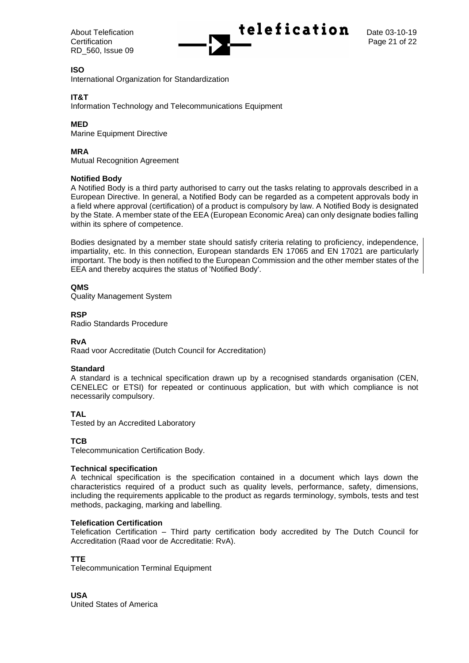

## **ISO**

International Organization for Standardization

## **IT&T**

Information Technology and Telecommunications Equipment

## **MED**

Marine Equipment Directive

## **MRA**

Mutual Recognition Agreement

#### **Notified Body**

A Notified Body is a third party authorised to carry out the tasks relating to approvals described in a European Directive. In general, a Notified Body can be regarded as a competent approvals body in a field where approval (certification) of a product is compulsory by law. A Notified Body is designated by the State. A member state of the EEA (European Economic Area) can only designate bodies falling within its sphere of competence.

Bodies designated by a member state should satisfy criteria relating to proficiency, independence, impartiality, etc. In this connection, European standards EN 17065 and EN 17021 are particularly important. The body is then notified to the European Commission and the other member states of the EEA and thereby acquires the status of 'Notified Body'.

## **QMS**

Quality Management System

## **RSP**

Radio Standards Procedure

## **RvA**

Raad voor Accreditatie (Dutch Council for Accreditation)

#### **Standard**

A standard is a technical specification drawn up by a recognised standards organisation (CEN, CENELEC or ETSI) for repeated or continuous application, but with which compliance is not necessarily compulsory.

## **TAL**

Tested by an Accredited Laboratory

#### **TCB**

Telecommunication Certification Body.

#### **Technical specification**

A technical specification is the specification contained in a document which lays down the characteristics required of a product such as quality levels, performance, safety, dimensions, including the requirements applicable to the product as regards terminology, symbols, tests and test methods, packaging, marking and labelling.

#### **Telefication Certification**

Telefication Certification – Third party certification body accredited by The Dutch Council for Accreditation (Raad voor de Accreditatie: RvA).

#### **TTE**

Telecommunication Terminal Equipment

**USA** United States of America